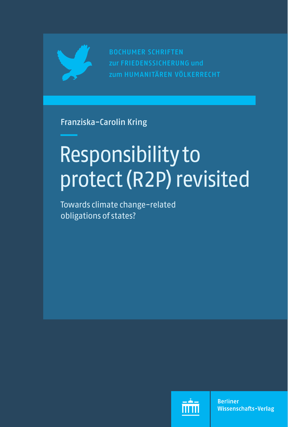

BOCHUMER SCHRIFTEN zur FRIEDENSSICHERUNG und zum HUMANITÄREN VÖLKERRECHT

# Franziska-Carolin Kring ━

# Responsibility to protect (R2P) revisited

Towards climate change-related obligations of states?

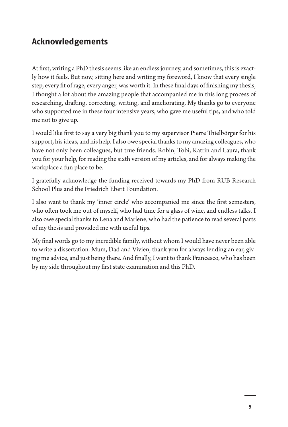## **Acknowledgements**

At first, writing a PhD thesis seems like an endless journey, and sometimes, this is exactly how it feels. But now, sitting here and writing my foreword, I know that every single step, every fit of rage, every anger, was worth it. In these final days of finishing my thesis, I thought a lot about the amazing people that accompanied me in this long process of researching, drafting, correcting, writing, and ameliorating. My thanks go to everyone who supported me in these four intensive years, who gave me useful tips, and who told me not to give up.

I would like first to say a very big thank you to my supervisor Pierre Thielbörger for his support, his ideas, and his help. I also owe special thanks to my amazing colleagues, who have not only been colleagues, but true friends. Robin, Tobi, Katrin and Laura, thank you for your help, for reading the sixth version of my articles, and for always making the workplace a fun place to be.

I gratefully acknowledge the funding received towards my PhD from RUB Research School Plus and the Friedrich Ebert Foundation.

I also want to thank my 'inner circle' who accompanied me since the first semesters, who often took me out of myself, who had time for a glass of wine, and endless talks. I also owe special thanks to Lena and Marlene, who had the patience to read several parts of my thesis and provided me with useful tips.

My final words go to my incredible family, without whom I would have never been able to write a dissertation. Mum, Dad and Vivien, thank you for always lending an ear, giving me advice, and just being there. And finally, I want to thank Francesco, who has been by my side throughout my first state examination and this PhD.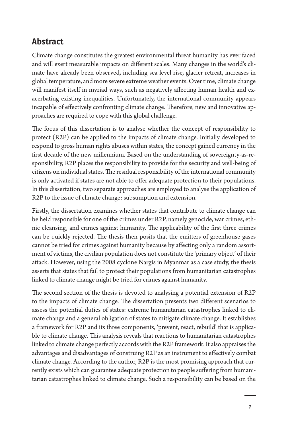### **Abstract**

Climate change constitutes the greatest environmental threat humanity has ever faced and will exert measurable impacts on different scales. Many changes in the world's climate have already been observed, including sea level rise, glacier retreat, increases in global temperature, and more severe extreme weather events. Over time, climate change will manifest itself in myriad ways, such as negatively affecting human health and exacerbating existing inequalities. Unfortunately, the international community appears incapable of effectively confronting climate change. Therefore, new and innovative approaches are required to cope with this global challenge.

The focus of this dissertation is to analyse whether the concept of responsibility to protect (R2P) can be applied to the impacts of climate change. Initially developed to respond to gross human rights abuses within states, the concept gained currency in the first decade of the new millennium. Based on the understanding of sovereignty-as-responsibility, R2P places the responsibility to provide for the security and well-being of citizens on individual states. The residual responsibility of the international community is only activated if states are not able to offer adequate protection to their populations. In this dissertation, two separate approaches are employed to analyse the application of R2P to the issue of climate change: subsumption and extension.

Firstly, the dissertation examines whether states that contribute to climate change can be held responsible for one of the crimes under R2P, namely genocide, war crimes, ethnic cleansing, and crimes against humanity. The applicability of the first three crimes can be quickly rejected. The thesis then posits that the emitters of greenhouse gases cannot be tried for crimes against humanity because by affecting only a random assortment of victims, the civilian population does not constitute the 'primary object' of their attack. However, using the 2008 cyclone Nargis in Myanmar as a case study, the thesis asserts that states that fail to protect their populations from humanitarian catastrophes linked to climate change might be tried for crimes against humanity.

The second section of the thesis is devoted to analysing a potential extension of R2P to the impacts of climate change. The dissertation presents two different scenarios to assess the potential duties of states: extreme humanitarian catastrophes linked to climate change and a general obligation of states to mitigate climate change. It establishes a framework for R2P and its three components, 'prevent, react, rebuild' that is applicable to climate change. This analysis reveals that reactions to humanitarian catastrophes linked to climate change perfectly accords with the R2P framework. It also appraises the advantages and disadvantages of construing R2P as an instrument to effectively combat climate change. According to the author, R2P is the most promising approach that currently exists which can guarantee adequate protection to people suffering from humanitarian catastrophes linked to climate change. Such a responsibility can be based on the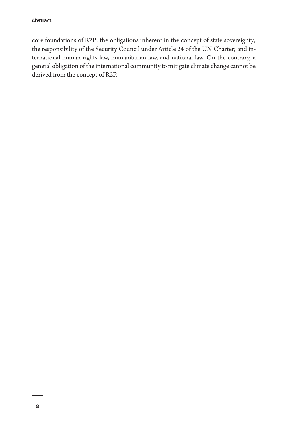#### **Abstract**

core foundations of R2P: the obligations inherent in the concept of state sovereignty; the responsibility of the Security Council under Article 24 of the UN Charter; and international human rights law, humanitarian law, and national law. On the contrary, a general obligation of the international community to mitigate climate change cannot be derived from the concept of R2P.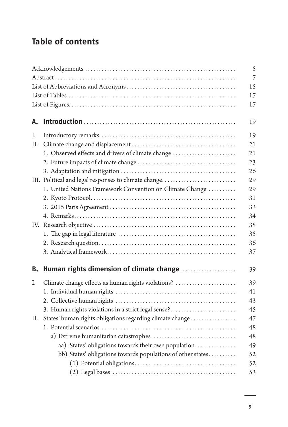## **Table of contents**

|    |                                                             | 5              |
|----|-------------------------------------------------------------|----------------|
|    |                                                             | $\overline{7}$ |
|    |                                                             | 15             |
|    |                                                             | 17             |
|    |                                                             | 17             |
|    |                                                             |                |
| А. |                                                             | 19             |
| I. |                                                             | 19             |
| П. |                                                             | 21             |
|    | 1. Observed effects and drivers of climate change           | 21             |
|    |                                                             | 23             |
|    |                                                             | 26             |
|    | III. Political and legal responses to climate change        | 29             |
|    | 1. United Nations Framework Convention on Climate Change    | 29             |
|    |                                                             | 31             |
|    |                                                             | 33             |
|    |                                                             | 34             |
|    |                                                             | 35             |
|    |                                                             | 35             |
|    |                                                             | 36             |
|    |                                                             | 37             |
| В. | Human rights dimension of climate change                    | 39             |
|    |                                                             |                |
| I. | Climate change effects as human rights violations?          | 39             |
|    |                                                             | 41             |
|    |                                                             | 43             |
|    | 3. Human rights violations in a strict legal sense?         | 45             |
| П. | States' human rights obligations regarding climate change   | 47             |
|    |                                                             | 48             |
|    |                                                             | 48             |
|    | aa) States' obligations towards their own population        | 49             |
|    | bb) States' obligations towards populations of other states | 52             |
|    |                                                             | 52             |
|    |                                                             | 53             |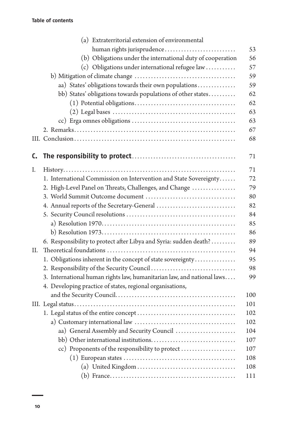|    | (a) Extraterritorial extension of environmental                        |     |
|----|------------------------------------------------------------------------|-----|
|    | human rights jurisprudence                                             | 53  |
|    | (b) Obligations under the international duty of cooperation            | 56  |
|    | $(c)$ Obligations under international refugee law                      | 57  |
|    |                                                                        | 59  |
|    | aa) States' obligations towards their own populations                  | 59  |
|    | bb) States' obligations towards populations of other states            | 62  |
|    |                                                                        | 62  |
|    |                                                                        | 63  |
|    |                                                                        | 63  |
|    |                                                                        | 67  |
|    |                                                                        | 68  |
| C. |                                                                        | 71  |
| I. |                                                                        | 71  |
|    | 1. International Commission on Intervention and State Sovereignty      | 72  |
|    | 2. High-Level Panel on Threats, Challenges, and Change                 | 79  |
|    |                                                                        | 80  |
|    |                                                                        | 82  |
|    |                                                                        | 84  |
|    |                                                                        | 85  |
|    |                                                                        | 86  |
|    | 6. Responsibility to protect after Libya and Syria: sudden death?      | 89  |
| П. |                                                                        | 94  |
|    | 1. Obligations inherent in the concept of state sovereignty            | 95  |
|    |                                                                        | 98  |
|    | 3. International human rights law, humanitarian law, and national laws | 99  |
|    | 4. Developing practice of states, regional organisations,              |     |
|    |                                                                        | 100 |
|    |                                                                        | 101 |
|    |                                                                        | 102 |
|    |                                                                        | 102 |
|    | aa) General Assembly and Security Council                              | 104 |
|    |                                                                        | 107 |
|    | cc) Proponents of the responsibility to protect                        | 107 |
|    |                                                                        | 108 |
|    |                                                                        | 108 |
|    |                                                                        | 111 |

 $\overline{\phantom{0}}$ L,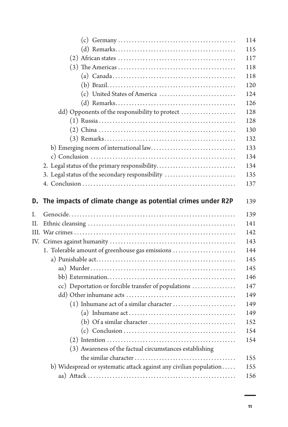|    |                                                                    | 114 |
|----|--------------------------------------------------------------------|-----|
|    |                                                                    | 115 |
|    |                                                                    | 117 |
|    |                                                                    | 118 |
|    |                                                                    | 118 |
|    |                                                                    | 120 |
|    |                                                                    | 124 |
|    |                                                                    | 126 |
|    | dd) Opponents of the responsibility to protect                     | 128 |
|    |                                                                    | 128 |
|    |                                                                    | 130 |
|    |                                                                    | 132 |
|    |                                                                    | 133 |
|    |                                                                    | 134 |
|    | 2. Legal status of the primary responsibility                      | 134 |
|    | 3. Legal status of the secondary responsibility                    | 135 |
|    |                                                                    | 137 |
|    |                                                                    |     |
| D. | The impacts of climate change as potential crimes under R2P        | 139 |
| I. |                                                                    | 139 |
| Н. |                                                                    | 141 |
|    |                                                                    |     |
|    |                                                                    | 142 |
|    |                                                                    | 143 |
|    | 1. Tolerable amount of greenhouse gas emissions                    | 144 |
|    |                                                                    | 145 |
|    |                                                                    | 145 |
|    |                                                                    | 146 |
|    | cc) Deportation or forcible transfer of populations                | 147 |
|    |                                                                    | 149 |
|    |                                                                    | 149 |
|    |                                                                    | 149 |
|    |                                                                    | 152 |
|    |                                                                    | 154 |
|    |                                                                    | 154 |
|    | (3) Awareness of the factual circumstances establishing            |     |
|    |                                                                    | 155 |
|    | b) Widespread or systematic attack against any civilian population | 155 |
|    |                                                                    | 156 |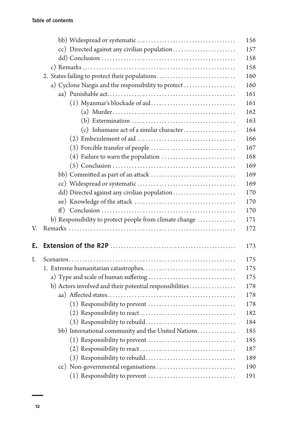|    |                                                                                      | 156 |
|----|--------------------------------------------------------------------------------------|-----|
|    | cc) Directed against any civilian population                                         | 157 |
|    |                                                                                      | 158 |
|    |                                                                                      | 158 |
|    | 2. States failing to protect their populations                                       | 160 |
|    | a) Cyclone Nargis and the responsibility to protect                                  | 160 |
|    |                                                                                      | 161 |
|    |                                                                                      | 161 |
|    |                                                                                      | 162 |
|    |                                                                                      | 163 |
|    |                                                                                      | 164 |
|    |                                                                                      | 166 |
|    |                                                                                      | 167 |
|    |                                                                                      | 168 |
|    |                                                                                      | 169 |
|    |                                                                                      | 169 |
|    |                                                                                      | 169 |
|    |                                                                                      | 170 |
|    |                                                                                      | 170 |
|    |                                                                                      | 170 |
|    | b) Responsibility to protect people from climate change                              | 171 |
| V. |                                                                                      | 172 |
|    |                                                                                      |     |
| E. |                                                                                      | 173 |
| I. |                                                                                      | 175 |
|    |                                                                                      | 175 |
|    |                                                                                      | 175 |
|    | b) Actors involved and their potential responsibilities                              | 178 |
|    |                                                                                      | 178 |
|    |                                                                                      | 178 |
|    |                                                                                      | 182 |
|    |                                                                                      | 184 |
|    | bb) International community and the United Nations                                   | 185 |
|    |                                                                                      | 185 |
|    |                                                                                      | 187 |
|    |                                                                                      | 189 |
|    |                                                                                      | 190 |
|    | $(1)$ Responsibility to prevent $\dots\dots\dots\dots\dots\dots\dots\dots\dots\dots$ | 191 |

L,  $\sim$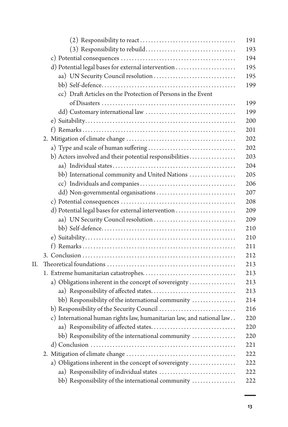|    |                                                                       | 191 |
|----|-----------------------------------------------------------------------|-----|
|    |                                                                       | 193 |
|    |                                                                       | 194 |
|    | d) Potential legal bases for external intervention                    | 195 |
|    |                                                                       | 195 |
|    |                                                                       | 199 |
|    | cc) Draft Articles on the Protection of Persons in the Event          |     |
|    |                                                                       | 199 |
|    |                                                                       | 199 |
|    |                                                                       | 200 |
|    |                                                                       | 201 |
|    |                                                                       | 202 |
|    |                                                                       | 202 |
|    | b) Actors involved and their potential responsibilities               | 203 |
|    |                                                                       | 204 |
|    | bb) International community and United Nations                        | 205 |
|    |                                                                       | 206 |
|    |                                                                       | 207 |
|    |                                                                       | 208 |
|    | d) Potential legal bases for external intervention                    | 209 |
|    |                                                                       | 209 |
|    |                                                                       | 210 |
|    |                                                                       | 210 |
|    |                                                                       | 211 |
|    |                                                                       | 212 |
| Η. |                                                                       | 213 |
|    |                                                                       | 213 |
|    | a) Obligations inherent in the concept of sovereignty                 | 213 |
|    |                                                                       | 213 |
|    | bb) Responsibility of the international community                     | 214 |
|    |                                                                       | 216 |
|    | c) International human rights law, humanitarian law, and national law | 220 |
|    |                                                                       | 220 |
|    | bb) Responsibility of the international community                     | 220 |
|    |                                                                       | 221 |
|    |                                                                       | 222 |
|    | a) Obligations inherent in the concept of sovereignty                 | 222 |
|    |                                                                       | 222 |
|    | bb) Responsibility of the international community                     | 222 |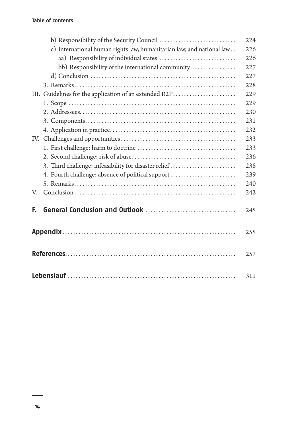|    |                                                                       | 224 |
|----|-----------------------------------------------------------------------|-----|
|    | c) International human rights law, humanitarian law, and national law | 226 |
|    |                                                                       | 226 |
|    | bb) Responsibility of the international community                     | 227 |
|    |                                                                       | 227 |
|    |                                                                       | 228 |
|    | III. Guidelines for the application of an extended R2P                | 229 |
|    |                                                                       | 229 |
|    |                                                                       | 230 |
|    |                                                                       | 231 |
|    |                                                                       | 232 |
|    |                                                                       | 233 |
|    |                                                                       | 233 |
|    |                                                                       | 236 |
|    | 3. Third challenge: infeasibility for disaster relief                 | 238 |
|    | 4. Fourth challenge: absence of political support                     | 239 |
|    |                                                                       | 240 |
| V. |                                                                       | 242 |
|    |                                                                       |     |
| F. |                                                                       | 245 |
|    |                                                                       |     |
|    |                                                                       | 255 |
|    |                                                                       |     |
|    |                                                                       |     |
|    |                                                                       | 257 |
|    |                                                                       |     |
|    |                                                                       | 311 |

 $\sim$ ÷.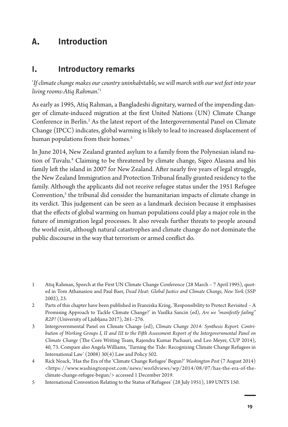## **A. Introduction**

### **I. Introductory remarks**

'*If climate change makes our country uninhabitable, we will march with our wet feet into your living rooms-Atiq Rahman*.'1

As early as 1995, Atiq Rahman, a Bangladeshi dignitary, warned of the impending danger of climate-induced migration at the first United Nations (UN) Climate Change Conference in Berlin.<sup>2</sup> As the latest report of the Intergovernmental Panel on Climate Change (IPCC) indicates, global warming is likely to lead to increased displacement of human populations from their homes.<sup>3</sup>

In June 2014, New Zealand granted asylum to a family from the Polynesian island nation of Tuvalu.4 Claiming to be threatened by climate change, Sigeo Alasana and his family left the island in 2007 for New Zealand. After nearly five years of legal struggle, the New Zealand Immigration and Protection Tribunal finally granted residency to the family. Although the applicants did not receive refugee status under the 1951 Refugee Convention,<sup>5</sup> the tribunal did consider the humanitarian impacts of climate change in its verdict. This judgement can be seen as a landmark decision because it emphasises that the effects of global warming on human populations could play a major role in the future of immigration legal processes. It also reveals further threats to people around the world exist, although natural catastrophes and climate change do not dominate the public discourse in the way that terrorism or armed conflict do.

1 Atiq Rahman, Speech at the First UN Climate Change Conference (28 March – 7 April 1995), quoted in Tom Athanasiou and Paul Baer, *Dead Heat: Global Justice and Climate Change, New York* (SSP 2002), 23.

2 Parts of this chapter have been published in Franziska Kring, 'Responsibility to Protect Revisited – A Promising Approach to Tackle Climate Change?' in Vasilka Sancin (ed), *Are we "manifestly failing" R2P?* (University of Ljubljana 2017), 261–276.

3 Intergovernmental Panel on Climate Change (ed), *Climate Change 2014: Synthesis Report. Contribution of Working Groups I, II and III to the Fifth Assessment Report of the Intergovernmental Panel on Climate Change* (The Core Writing Team, Rajendra Kumar Pachauri, and Leo Meyer, CUP 2014), 40, 73. Compare also Angela Williams, 'Turning the Tide: Recognizing Climate Change Refugees in International Law' (2008) 30(4) Law and Policy 502.

4 Rick Noack, 'Has the Era of the 'Climate Change Refugee' Begun?' *Washington Post* (7 August 2014) <https://www.washingtonpost.com/news/worldviews/wp/2014/08/07/has-the-era-of-theclimate-change-refugee-begun/> accessed 1 December 2019.

5 International Convention Relating to the Status of Refugees' (28 July 1951), 189 UNTS 150.